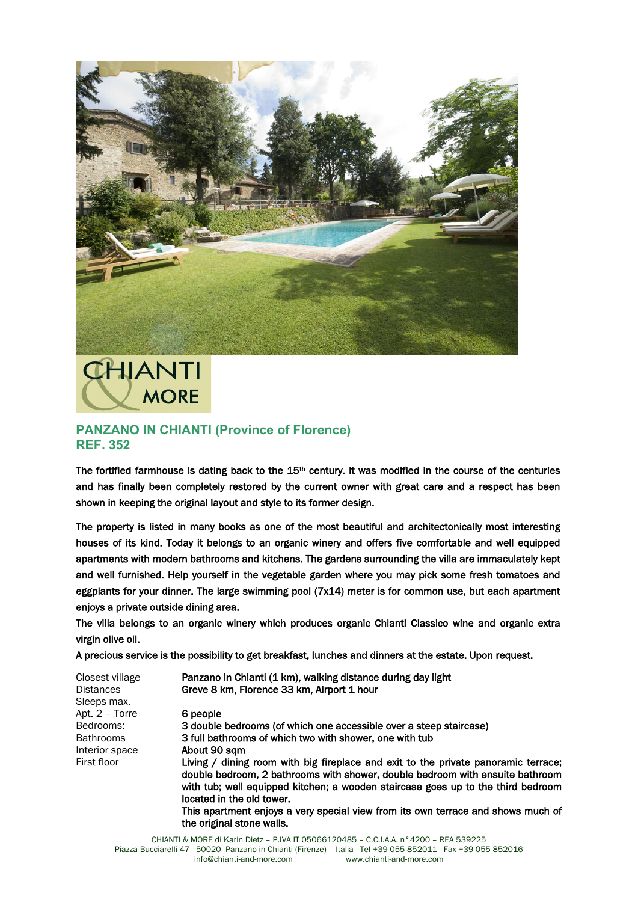

**CHIANTI MORE** 

## **PANZANO IN CHIANTI (Province of Florence) REF. 352**

The fortified farmhouse is dating back to the  $15<sup>th</sup>$  century. It was modified in the course of the centuries and has finally been completely restored by the current owner with great care and a respect has been shown in keeping the original layout and style to its former design.

The property is listed in many books as one of the most beautiful and architectonically most interesting houses of its kind. Today it belongs to an organic winery and offers five comfortable and well equipped apartments with modern bathrooms and kitchens. The gardens surrounding the villa are immaculately kept and well furnished. Help yourself in the vegetable garden where you may pick some fresh tomatoes and eggplants for your dinner. The large swimming pool (7x14) meter is for common use, but each apartment enjoys a private outside dining area.

The villa belongs to an organic winery which produces organic Chianti Classico wine and organic extra virgin olive oil.

A precious service is the possibility to get breakfast, lunches and dinners at the estate. Upon request.

| Closest village<br><b>Distances</b> | Panzano in Chianti (1 km), walking distance during day light<br>Greve 8 km, Florence 33 km, Airport 1 hour                                                                                                                                                                           |
|-------------------------------------|--------------------------------------------------------------------------------------------------------------------------------------------------------------------------------------------------------------------------------------------------------------------------------------|
| Sleeps max.                         |                                                                                                                                                                                                                                                                                      |
| Apt. 2 - Torre                      | 6 people                                                                                                                                                                                                                                                                             |
| Bedrooms:                           | 3 double bedrooms (of which one accessible over a steep staircase)                                                                                                                                                                                                                   |
| <b>Bathrooms</b>                    | 3 full bathrooms of which two with shower, one with tub                                                                                                                                                                                                                              |
| Interior space                      | About 90 sqm                                                                                                                                                                                                                                                                         |
| First floor                         | Living / dining room with big fireplace and exit to the private panoramic terrace;<br>double bedroom, 2 bathrooms with shower, double bedroom with ensuite bathroom<br>with tub; well equipped kitchen; a wooden staircase goes up to the third bedroom<br>located in the old tower. |
|                                     | This apartment enjoys a very special view from its own terrace and shows much of<br>the original stone walls.                                                                                                                                                                        |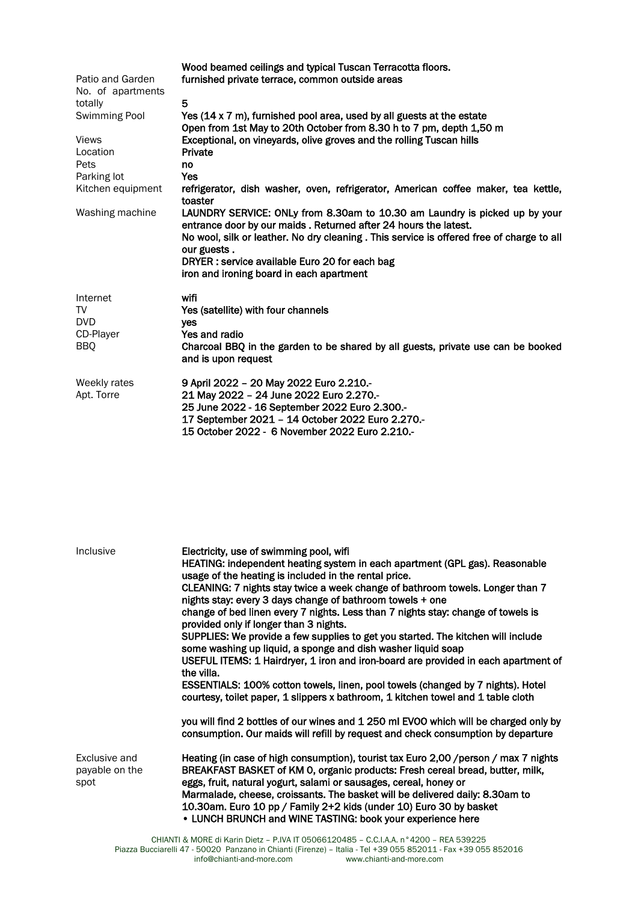|                   | Wood beamed ceilings and typical Tuscan Terracotta floors.                                                                                    |
|-------------------|-----------------------------------------------------------------------------------------------------------------------------------------------|
| Patio and Garden  | furnished private terrace, common outside areas                                                                                               |
| No. of apartments |                                                                                                                                               |
| totally           | 5                                                                                                                                             |
| Swimming Pool     | Yes (14 x 7 m), furnished pool area, used by all guests at the estate                                                                         |
|                   | Open from 1st May to 20th October from 8.30 h to 7 pm, depth 1,50 m                                                                           |
| <b>Views</b>      | Exceptional, on vineyards, olive groves and the rolling Tuscan hills                                                                          |
| Location          | Private                                                                                                                                       |
| Pets              | no                                                                                                                                            |
| Parking lot       | <b>Yes</b>                                                                                                                                    |
| Kitchen equipment | refrigerator, dish washer, oven, refrigerator, American coffee maker, tea kettle,<br>toaster                                                  |
| Washing machine   | LAUNDRY SERVICE: ONLy from 8.30am to 10.30 am Laundry is picked up by your<br>entrance door by our maids. Returned after 24 hours the latest. |
|                   | No wool, silk or leather. No dry cleaning . This service is offered free of charge to all                                                     |
|                   | our guests.                                                                                                                                   |
|                   | DRYER : service available Euro 20 for each bag                                                                                                |
|                   | iron and ironing board in each apartment                                                                                                      |
| Internet          | wifi                                                                                                                                          |
| TV                | Yes (satellite) with four channels                                                                                                            |
| <b>DVD</b>        | yes                                                                                                                                           |
| CD-Player         | Yes and radio                                                                                                                                 |
| <b>BBQ</b>        | Charcoal BBQ in the garden to be shared by all guests, private use can be booked                                                              |
|                   | and is upon request                                                                                                                           |
| Weekly rates      | 9 April 2022 - 20 May 2022 Euro 2.210.-                                                                                                       |
| Apt. Torre        | 21 May 2022 - 24 June 2022 Euro 2.270.-                                                                                                       |
|                   | 25 June 2022 - 16 September 2022 Euro 2.300 .-                                                                                                |
|                   | 17 September 2021 - 14 October 2022 Euro 2.270.-                                                                                              |
|                   | 15 October 2022 - 6 November 2022 Euro 2.210.-                                                                                                |
|                   |                                                                                                                                               |
|                   |                                                                                                                                               |

| Inclusive                               | Electricity, use of swimming pool, wifi<br>HEATING: independent heating system in each apartment (GPL gas). Reasonable<br>usage of the heating is included in the rental price.<br>CLEANING: 7 nights stay twice a week change of bathroom towels. Longer than 7<br>nights stay: every 3 days change of bathroom towels + one<br>change of bed linen every 7 nights. Less than 7 nights stay: change of towels is<br>provided only if longer than 3 nights.<br>SUPPLIES: We provide a few supplies to get you started. The kitchen will include<br>some washing up liquid, a sponge and dish washer liquid soap<br>USEFUL ITEMS: 1 Hairdryer, 1 iron and iron-board are provided in each apartment of<br>the villa.<br>ESSENTIALS: 100% cotton towels, linen, pool towels (changed by 7 nights). Hotel<br>courtesy, toilet paper, 1 slippers x bathroom, 1 kitchen towel and 1 table cloth<br>you will find 2 bottles of our wines and 1 250 ml EVOO which will be charged only by<br>consumption. Our maids will refill by request and check consumption by departure |
|-----------------------------------------|------------------------------------------------------------------------------------------------------------------------------------------------------------------------------------------------------------------------------------------------------------------------------------------------------------------------------------------------------------------------------------------------------------------------------------------------------------------------------------------------------------------------------------------------------------------------------------------------------------------------------------------------------------------------------------------------------------------------------------------------------------------------------------------------------------------------------------------------------------------------------------------------------------------------------------------------------------------------------------------------------------------------------------------------------------------------|
| Exclusive and<br>payable on the<br>spot | Heating (in case of high consumption), tourist tax Euro 2,00 / person / max 7 nights<br>BREAKFAST BASKET of KM 0, organic products: Fresh cereal bread, butter, milk,<br>eggs, fruit, natural yogurt, salami or sausages, cereal, honey or<br>Marmalade, cheese, croissants. The basket will be delivered daily: 8.30am to<br>10.30am. Euro 10 pp / Family 2+2 kids (under 10) Euro 30 by basket<br>• LUNCH BRUNCH and WINE TASTING: book your experience here                                                                                                                                                                                                                                                                                                                                                                                                                                                                                                                                                                                                         |